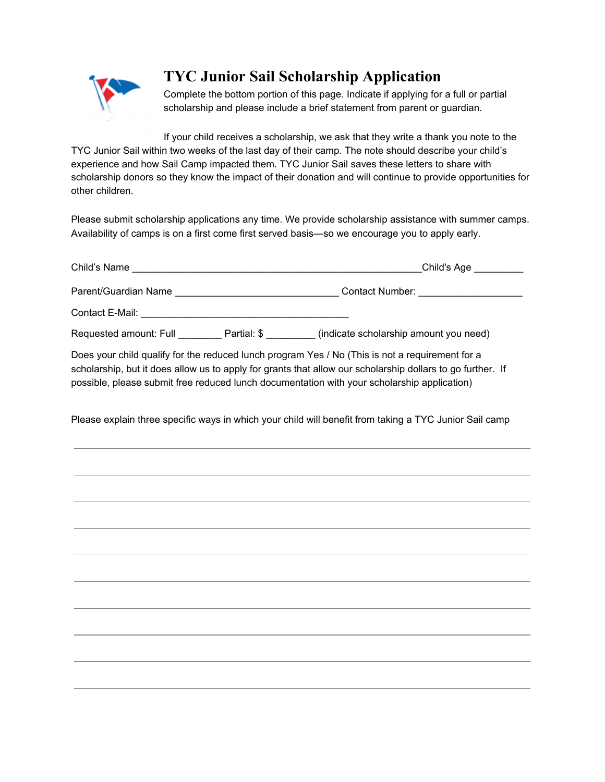

## **TYC Junior Sail Scholarship Application**

Complete the bottom portion of this page. Indicate if applying for a full or partial scholarship and please include a brief statement from parent or guardian.

If your child receives a scholarship, we ask that they write a thank you note to the TYC Junior Sail within two weeks of the last day of their camp. The note should describe your child's experience and how Sail Camp impacted them. TYC Junior Sail saves these letters to share with scholarship donors so they know the impact of their donation and will continue to provide opportunities for other children.

Please submit scholarship applications any time. We provide scholarship assistance with summer camps. Availability of camps is on a first come first served basis—so we encourage you to apply early.

|  | Child's Age _________                                                                                                                                                                                                                                                                                        |
|--|--------------------------------------------------------------------------------------------------------------------------------------------------------------------------------------------------------------------------------------------------------------------------------------------------------------|
|  | Parent/Guardian Name ___________________________________Contact Number: ___________________________                                                                                                                                                                                                          |
|  |                                                                                                                                                                                                                                                                                                              |
|  | Requested amount: Full __________ Partial: \$ _________ (indicate scholarship amount you need)                                                                                                                                                                                                               |
|  | Does your child qualify for the reduced lunch program Yes / No (This is not a requirement for a<br>scholarship, but it does allow us to apply for grants that allow our scholarship dollars to go further. If<br>possible, please submit free reduced lunch documentation with your scholarship application) |
|  | Please explain three specific ways in which your child will benefit from taking a TYC Junior Sail camp                                                                                                                                                                                                       |
|  |                                                                                                                                                                                                                                                                                                              |
|  |                                                                                                                                                                                                                                                                                                              |
|  |                                                                                                                                                                                                                                                                                                              |
|  |                                                                                                                                                                                                                                                                                                              |
|  |                                                                                                                                                                                                                                                                                                              |
|  |                                                                                                                                                                                                                                                                                                              |
|  |                                                                                                                                                                                                                                                                                                              |
|  |                                                                                                                                                                                                                                                                                                              |
|  |                                                                                                                                                                                                                                                                                                              |